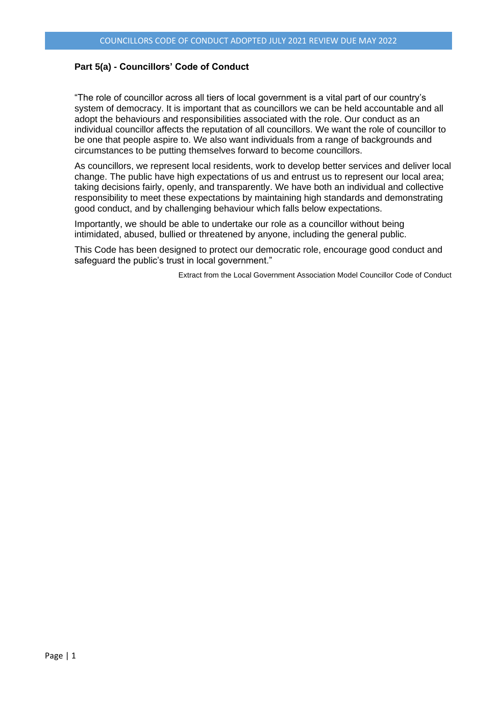### **Part 5(a) - Councillors' Code of Conduct**

"The role of councillor across all tiers of local government is a vital part of our country's system of democracy. It is important that as councillors we can be held accountable and all adopt the behaviours and responsibilities associated with the role. Our conduct as an individual councillor affects the reputation of all councillors. We want the role of councillor to be one that people aspire to. We also want individuals from a range of backgrounds and circumstances to be putting themselves forward to become councillors.

As councillors, we represent local residents, work to develop better services and deliver local change. The public have high expectations of us and entrust us to represent our local area; taking decisions fairly, openly, and transparently. We have both an individual and collective responsibility to meet these expectations by maintaining high standards and demonstrating good conduct, and by challenging behaviour which falls below expectations.

Importantly, we should be able to undertake our role as a councillor without being intimidated, abused, bullied or threatened by anyone, including the general public.

This Code has been designed to protect our democratic role, encourage good conduct and safeguard the public's trust in local government."

Extract from the Local Government Association Model Councillor Code of Conduct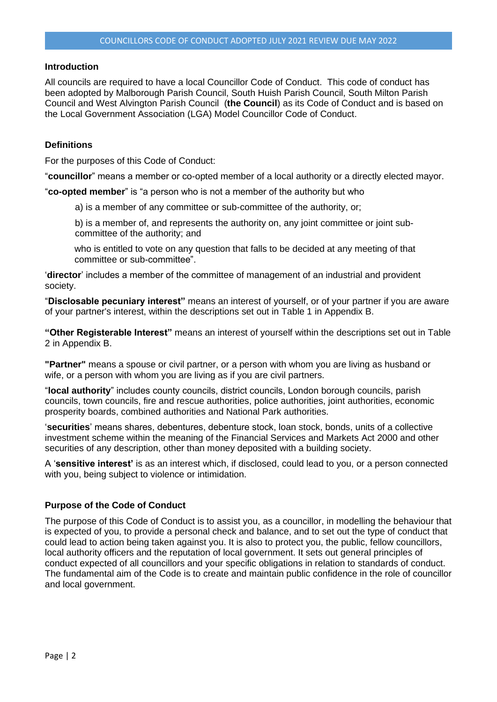#### **Introduction**

All councils are required to have a local Councillor Code of Conduct. This code of conduct has been adopted by Malborough Parish Council, South Huish Parish Council, South Milton Parish Council and West Alvington Parish Council (**the Council**) as its Code of Conduct and is based on the Local Government Association (LGA) Model Councillor Code of Conduct.

#### **Definitions**

For the purposes of this Code of Conduct:

"**councillor**" means a member or co-opted member of a local authority or a directly elected mayor.

"**co-opted member**" is "a person who is not a member of the authority but who

a) is a member of any committee or sub-committee of the authority, or;

b) is a member of, and represents the authority on, any joint committee or joint subcommittee of the authority; and

who is entitled to vote on any question that falls to be decided at any meeting of that committee or sub-committee".

'**director**' includes a member of the committee of management of an industrial and provident society.

"**Disclosable pecuniary interest"** means an interest of yourself, or of your partner if you are aware of your partner's interest, within the descriptions set out in Table 1 in Appendix B.

**"Other Registerable Interest"** means an interest of yourself within the descriptions set out in Table 2 in Appendix B.

**"Partner"** means a spouse or civil partner, or a person with whom you are living as husband or wife, or a person with whom you are living as if you are civil partners.

"**local authority**" includes county councils, district councils, London borough councils, parish councils, town councils, fire and rescue authorities, police authorities, joint authorities, economic prosperity boards, combined authorities and National Park authorities.

'**securities**' means shares, debentures, debenture stock, loan stock, bonds, units of a collective investment scheme within the meaning of the Financial Services and Markets Act 2000 and other securities of any description, other than money deposited with a building society.

A '**sensitive interest'** is as an interest which, if disclosed, could lead to you, or a person connected with you, being subject to violence or intimidation.

### **Purpose of the Code of Conduct**

The purpose of this Code of Conduct is to assist you, as a councillor, in modelling the behaviour that is expected of you, to provide a personal check and balance, and to set out the type of conduct that could lead to action being taken against you. It is also to protect you, the public, fellow councillors, local authority officers and the reputation of local government. It sets out general principles of conduct expected of all councillors and your specific obligations in relation to standards of conduct. The fundamental aim of the Code is to create and maintain public confidence in the role of councillor and local government.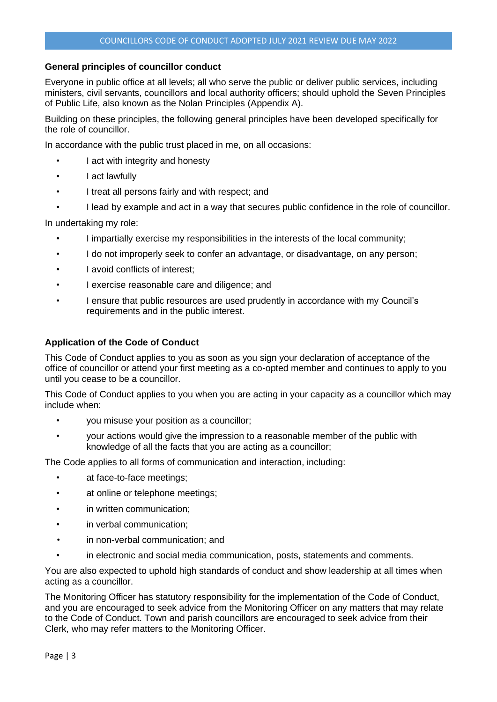## **General principles of councillor conduct**

Everyone in public office at all levels; all who serve the public or deliver public services, including ministers, civil servants, councillors and local authority officers; should uphold the Seven Principles of Public Life, also known as the Nolan Principles (Appendix A).

Building on these principles, the following general principles have been developed specifically for the role of councillor.

In accordance with the public trust placed in me, on all occasions:

- I act with integrity and honesty
- I act lawfully
- I treat all persons fairly and with respect; and
- I lead by example and act in a way that secures public confidence in the role of councillor.

In undertaking my role:

- I impartially exercise my responsibilities in the interests of the local community;
- I do not improperly seek to confer an advantage, or disadvantage, on any person;
- I avoid conflicts of interest;
- I exercise reasonable care and diligence; and
- I ensure that public resources are used prudently in accordance with my Council's requirements and in the public interest.

### **Application of the Code of Conduct**

This Code of Conduct applies to you as soon as you sign your declaration of acceptance of the office of councillor or attend your first meeting as a co-opted member and continues to apply to you until you cease to be a councillor.

This Code of Conduct applies to you when you are acting in your capacity as a councillor which may include when:

- you misuse your position as a councillor;
- your actions would give the impression to a reasonable member of the public with knowledge of all the facts that you are acting as a councillor;

The Code applies to all forms of communication and interaction, including:

- at face-to-face meetings;
- at online or telephone meetings;
- in written communication;
- in verbal communication;
- in non-verbal communication; and
- in electronic and social media communication, posts, statements and comments.

You are also expected to uphold high standards of conduct and show leadership at all times when acting as a councillor.

The Monitoring Officer has statutory responsibility for the implementation of the Code of Conduct, and you are encouraged to seek advice from the Monitoring Officer on any matters that may relate to the Code of Conduct. Town and parish councillors are encouraged to seek advice from their Clerk, who may refer matters to the Monitoring Officer.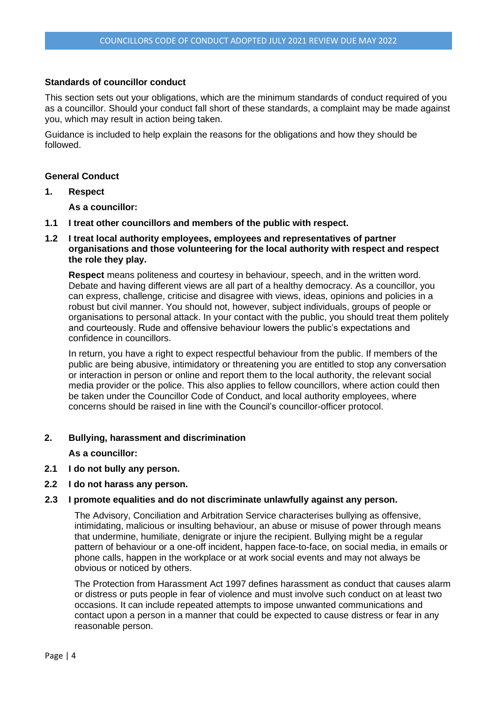#### **Standards of councillor conduct**

This section sets out your obligations, which are the minimum standards of conduct required of you as a councillor. Should your conduct fall short of these standards, a complaint may be made against you, which may result in action being taken.

Guidance is included to help explain the reasons for the obligations and how they should be followed.

#### **General Conduct**

**1. Respect** 

**As a councillor:** 

- **1.1 I treat other councillors and members of the public with respect.**
- **1.2 I treat local authority employees, employees and representatives of partner organisations and those volunteering for the local authority with respect and respect the role they play.**

**Respect** means politeness and courtesy in behaviour, speech, and in the written word. Debate and having different views are all part of a healthy democracy. As a councillor, you can express, challenge, criticise and disagree with views, ideas, opinions and policies in a robust but civil manner. You should not, however, subject individuals, groups of people or organisations to personal attack. In your contact with the public, you should treat them politely and courteously. Rude and offensive behaviour lowers the public's expectations and confidence in councillors.

In return, you have a right to expect respectful behaviour from the public. If members of the public are being abusive, intimidatory or threatening you are entitled to stop any conversation or interaction in person or online and report them to the local authority, the relevant social media provider or the police. This also applies to fellow councillors, where action could then be taken under the Councillor Code of Conduct, and local authority employees, where concerns should be raised in line with the Council's councillor-officer protocol.

**2. Bullying, harassment and discrimination** 

**As a councillor:** 

- **2.1 I do not bully any person.**
- **2.2 I do not harass any person.**
- **2.3 I promote equalities and do not discriminate unlawfully against any person.**

The Advisory, Conciliation and Arbitration Service characterises bullying as offensive, intimidating, malicious or insulting behaviour, an abuse or misuse of power through means that undermine, humiliate, denigrate or injure the recipient. Bullying might be a regular pattern of behaviour or a one-off incident, happen face-to-face, on social media, in emails or phone calls, happen in the workplace or at work social events and may not always be obvious or noticed by others.

The Protection from Harassment Act 1997 defines harassment as conduct that causes alarm or distress or puts people in fear of violence and must involve such conduct on at least two occasions. It can include repeated attempts to impose unwanted communications and contact upon a person in a manner that could be expected to cause distress or fear in any reasonable person.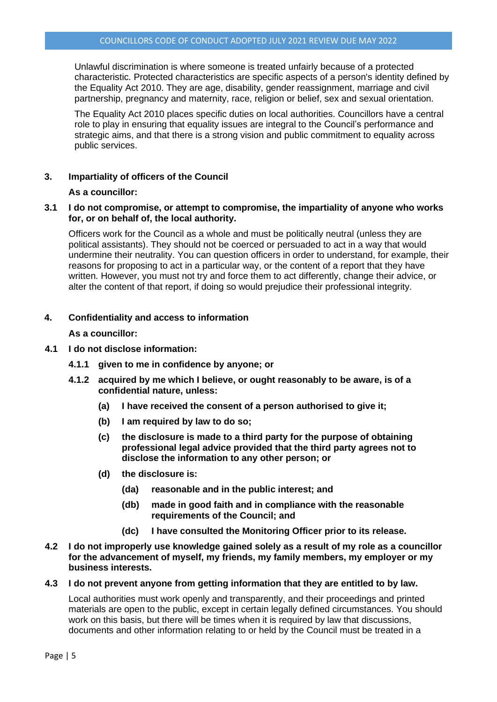Unlawful discrimination is where someone is treated unfairly because of a protected characteristic. Protected characteristics are specific aspects of a person's identity defined by the Equality Act 2010. They are age, disability, gender reassignment, marriage and civil partnership, pregnancy and maternity, race, religion or belief, sex and sexual orientation.

The Equality Act 2010 places specific duties on local authorities. Councillors have a central role to play in ensuring that equality issues are integral to the Council's performance and strategic aims, and that there is a strong vision and public commitment to equality across public services.

## **3. Impartiality of officers of the Council**

## **As a councillor:**

### **3.1 I do not compromise, or attempt to compromise, the impartiality of anyone who works for, or on behalf of, the local authority.**

Officers work for the Council as a whole and must be politically neutral (unless they are political assistants). They should not be coerced or persuaded to act in a way that would undermine their neutrality. You can question officers in order to understand, for example, their reasons for proposing to act in a particular way, or the content of a report that they have written. However, you must not try and force them to act differently, change their advice, or alter the content of that report, if doing so would prejudice their professional integrity.

## **4. Confidentiality and access to information**

**As a councillor:** 

### **4.1 I do not disclose information:**

- **4.1.1 given to me in confidence by anyone; or**
- **4.1.2 acquired by me which I believe, or ought reasonably to be aware, is of a confidential nature, unless:**
	- **(a) I have received the consent of a person authorised to give it;**
	- **(b) I am required by law to do so;**
	- **(c) the disclosure is made to a third party for the purpose of obtaining professional legal advice provided that the third party agrees not to disclose the information to any other person; or**
	- **(d) the disclosure is:** 
		- **(da) reasonable and in the public interest; and**
		- **(db) made in good faith and in compliance with the reasonable requirements of the Council; and**
		- **(dc) I have consulted the Monitoring Officer prior to its release.**
- **4.2 I do not improperly use knowledge gained solely as a result of my role as a councillor for the advancement of myself, my friends, my family members, my employer or my business interests.**

#### **4.3 I do not prevent anyone from getting information that they are entitled to by law.**

Local authorities must work openly and transparently, and their proceedings and printed materials are open to the public, except in certain legally defined circumstances. You should work on this basis, but there will be times when it is required by law that discussions, documents and other information relating to or held by the Council must be treated in a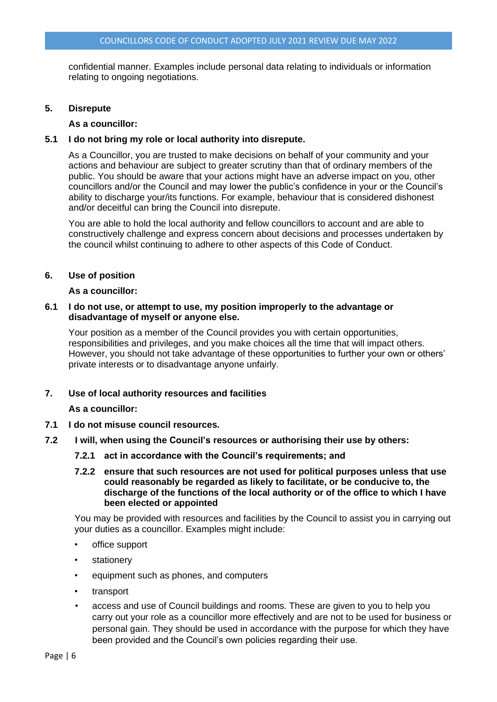confidential manner. Examples include personal data relating to individuals or information relating to ongoing negotiations.

## **5. Disrepute**

### **As a councillor:**

## **5.1 I do not bring my role or local authority into disrepute.**

As a Councillor, you are trusted to make decisions on behalf of your community and your actions and behaviour are subject to greater scrutiny than that of ordinary members of the public. You should be aware that your actions might have an adverse impact on you, other councillors and/or the Council and may lower the public's confidence in your or the Council's ability to discharge your/its functions. For example, behaviour that is considered dishonest and/or deceitful can bring the Council into disrepute.

You are able to hold the local authority and fellow councillors to account and are able to constructively challenge and express concern about decisions and processes undertaken by the council whilst continuing to adhere to other aspects of this Code of Conduct.

## **6. Use of position**

#### **As a councillor:**

## **6.1 I do not use, or attempt to use, my position improperly to the advantage or disadvantage of myself or anyone else.**

Your position as a member of the Council provides you with certain opportunities, responsibilities and privileges, and you make choices all the time that will impact others. However, you should not take advantage of these opportunities to further your own or others' private interests or to disadvantage anyone unfairly.

#### **7. Use of local authority resources and facilities**

#### **As a councillor:**

- **7.1 I do not misuse council resources.**
- **7.2 I will, when using the Council's resources or authorising their use by others:** 
	- **7.2.1 act in accordance with the Council's requirements; and**

## **7.2.2 ensure that such resources are not used for political purposes unless that use could reasonably be regarded as likely to facilitate, or be conducive to, the discharge of the functions of the local authority or of the office to which I have been elected or appointed**

You may be provided with resources and facilities by the Council to assist you in carrying out your duties as a councillor. Examples might include:

- office support
- stationery
- equipment such as phones, and computers
- transport
- access and use of Council buildings and rooms. These are given to you to help you carry out your role as a councillor more effectively and are not to be used for business or personal gain. They should be used in accordance with the purpose for which they have been provided and the Council's own policies regarding their use.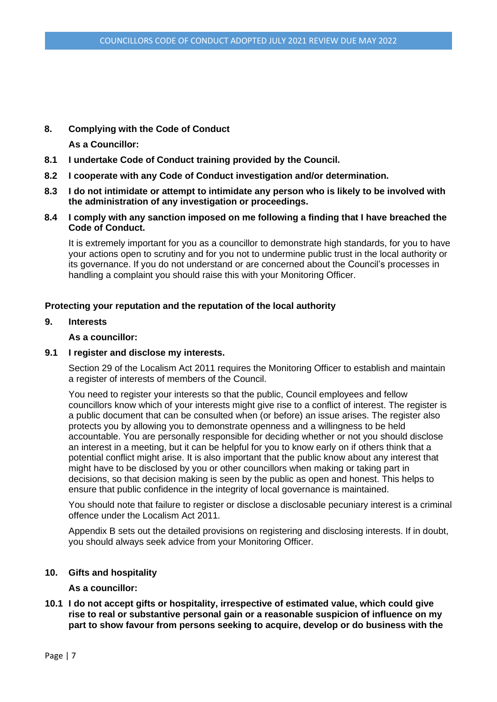# **8. Complying with the Code of Conduct**

**As a Councillor:** 

- **8.1 I undertake Code of Conduct training provided by the Council.**
- **8.2 I cooperate with any Code of Conduct investigation and/or determination.**
- **8.3 I do not intimidate or attempt to intimidate any person who is likely to be involved with the administration of any investigation or proceedings.**
- **8.4 I comply with any sanction imposed on me following a finding that I have breached the Code of Conduct.**

It is extremely important for you as a councillor to demonstrate high standards, for you to have your actions open to scrutiny and for you not to undermine public trust in the local authority or its governance. If you do not understand or are concerned about the Council's processes in handling a complaint you should raise this with your Monitoring Officer.

# **Protecting your reputation and the reputation of the local authority**

## **9. Interests**

#### **As a councillor:**

#### **9.1 I register and disclose my interests.**

Section 29 of the Localism Act 2011 requires the Monitoring Officer to establish and maintain a register of interests of members of the Council.

You need to register your interests so that the public, Council employees and fellow councillors know which of your interests might give rise to a conflict of interest. The register is a public document that can be consulted when (or before) an issue arises. The register also protects you by allowing you to demonstrate openness and a willingness to be held accountable. You are personally responsible for deciding whether or not you should disclose an interest in a meeting, but it can be helpful for you to know early on if others think that a potential conflict might arise. It is also important that the public know about any interest that might have to be disclosed by you or other councillors when making or taking part in decisions, so that decision making is seen by the public as open and honest. This helps to ensure that public confidence in the integrity of local governance is maintained.

You should note that failure to register or disclose a disclosable pecuniary interest is a criminal offence under the Localism Act 2011.

Appendix B sets out the detailed provisions on registering and disclosing interests. If in doubt, you should always seek advice from your Monitoring Officer.

#### **10. Gifts and hospitality**

### **As a councillor:**

**10.1 I do not accept gifts or hospitality, irrespective of estimated value, which could give rise to real or substantive personal gain or a reasonable suspicion of influence on my part to show favour from persons seeking to acquire, develop or do business with the**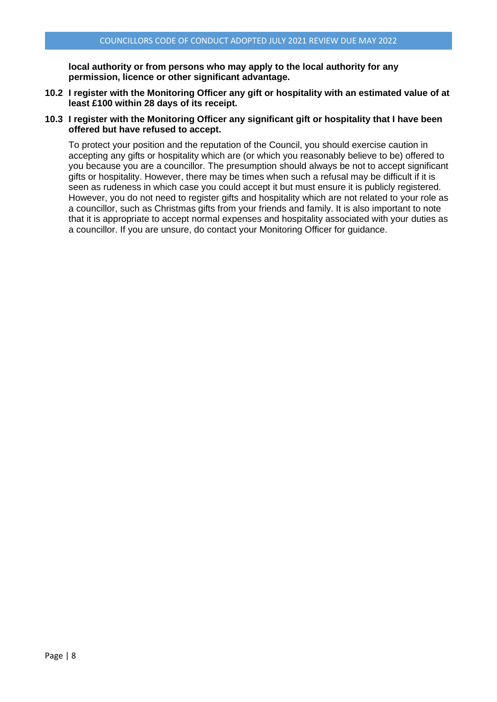**local authority or from persons who may apply to the local authority for any permission, licence or other significant advantage.** 

- **10.2 I register with the Monitoring Officer any gift or hospitality with an estimated value of at least £100 within 28 days of its receipt.**
- **10.3 I register with the Monitoring Officer any significant gift or hospitality that I have been offered but have refused to accept.**

To protect your position and the reputation of the Council, you should exercise caution in accepting any gifts or hospitality which are (or which you reasonably believe to be) offered to you because you are a councillor. The presumption should always be not to accept significant gifts or hospitality. However, there may be times when such a refusal may be difficult if it is seen as rudeness in which case you could accept it but must ensure it is publicly registered. However, you do not need to register gifts and hospitality which are not related to your role as a councillor, such as Christmas gifts from your friends and family. It is also important to note that it is appropriate to accept normal expenses and hospitality associated with your duties as a councillor. If you are unsure, do contact your Monitoring Officer for guidance.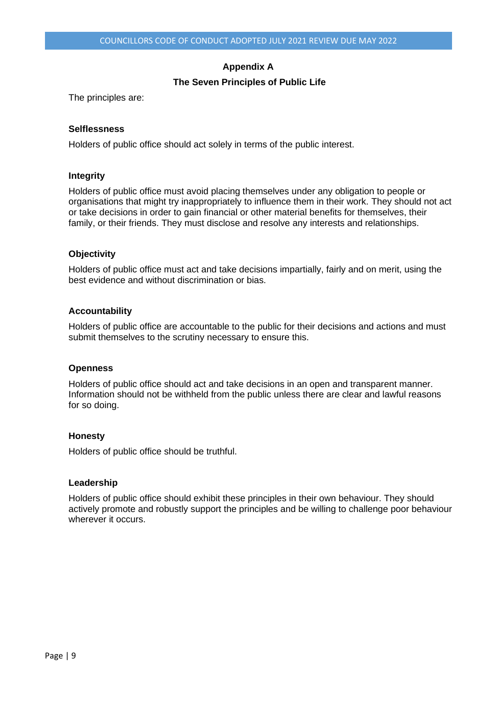# **Appendix A**

# **The Seven Principles of Public Life**

The principles are:

### **Selflessness**

Holders of public office should act solely in terms of the public interest.

### **Integrity**

Holders of public office must avoid placing themselves under any obligation to people or organisations that might try inappropriately to influence them in their work. They should not act or take decisions in order to gain financial or other material benefits for themselves, their family, or their friends. They must disclose and resolve any interests and relationships.

## **Objectivity**

Holders of public office must act and take decisions impartially, fairly and on merit, using the best evidence and without discrimination or bias.

## **Accountability**

Holders of public office are accountable to the public for their decisions and actions and must submit themselves to the scrutiny necessary to ensure this.

#### **Openness**

Holders of public office should act and take decisions in an open and transparent manner. Information should not be withheld from the public unless there are clear and lawful reasons for so doing.

#### **Honesty**

Holders of public office should be truthful.

#### **Leadership**

Holders of public office should exhibit these principles in their own behaviour. They should actively promote and robustly support the principles and be willing to challenge poor behaviour wherever it occurs.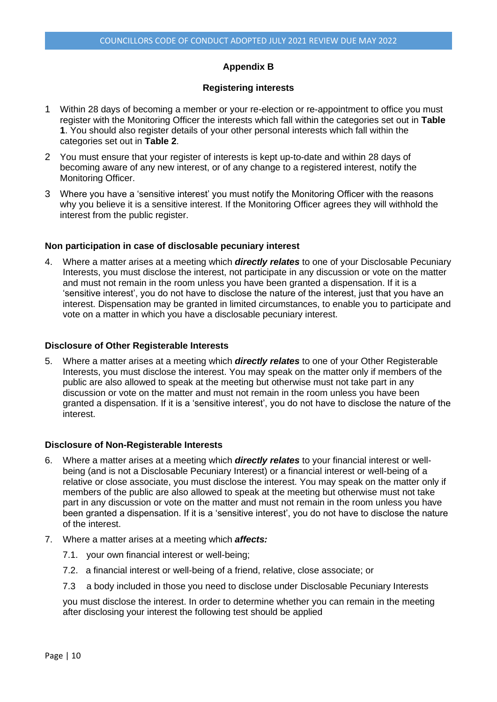### **Appendix B**

#### **Registering interests**

- 1 Within 28 days of becoming a member or your re-election or re-appointment to office you must register with the Monitoring Officer the interests which fall within the categories set out in **Table 1**. You should also register details of your other personal interests which fall within the categories set out in **Table 2**.
- 2 You must ensure that your register of interests is kept up-to-date and within 28 days of becoming aware of any new interest, or of any change to a registered interest, notify the Monitoring Officer.
- 3 Where you have a 'sensitive interest' you must notify the Monitoring Officer with the reasons why you believe it is a sensitive interest. If the Monitoring Officer agrees they will withhold the interest from the public register.

#### **Non participation in case of disclosable pecuniary interest**

4. Where a matter arises at a meeting which *directly relates* to one of your Disclosable Pecuniary Interests, you must disclose the interest, not participate in any discussion or vote on the matter and must not remain in the room unless you have been granted a dispensation. If it is a 'sensitive interest', you do not have to disclose the nature of the interest, just that you have an interest. Dispensation may be granted in limited circumstances, to enable you to participate and vote on a matter in which you have a disclosable pecuniary interest.

#### **Disclosure of Other Registerable Interests**

5. Where a matter arises at a meeting which *directly relates* to one of your Other Registerable Interests, you must disclose the interest. You may speak on the matter only if members of the public are also allowed to speak at the meeting but otherwise must not take part in any discussion or vote on the matter and must not remain in the room unless you have been granted a dispensation. If it is a 'sensitive interest', you do not have to disclose the nature of the interest.

#### **Disclosure of Non-Registerable Interests**

- 6. Where a matter arises at a meeting which *directly relates* to your financial interest or wellbeing (and is not a Disclosable Pecuniary Interest) or a financial interest or well-being of a relative or close associate, you must disclose the interest. You may speak on the matter only if members of the public are also allowed to speak at the meeting but otherwise must not take part in any discussion or vote on the matter and must not remain in the room unless you have been granted a dispensation. If it is a 'sensitive interest', you do not have to disclose the nature of the interest.
- 7. Where a matter arises at a meeting which *affects:*
	- 7.1. your own financial interest or well-being;
	- 7.2. a financial interest or well-being of a friend, relative, close associate; or
	- 7.3 a body included in those you need to disclose under Disclosable Pecuniary Interests

you must disclose the interest. In order to determine whether you can remain in the meeting after disclosing your interest the following test should be applied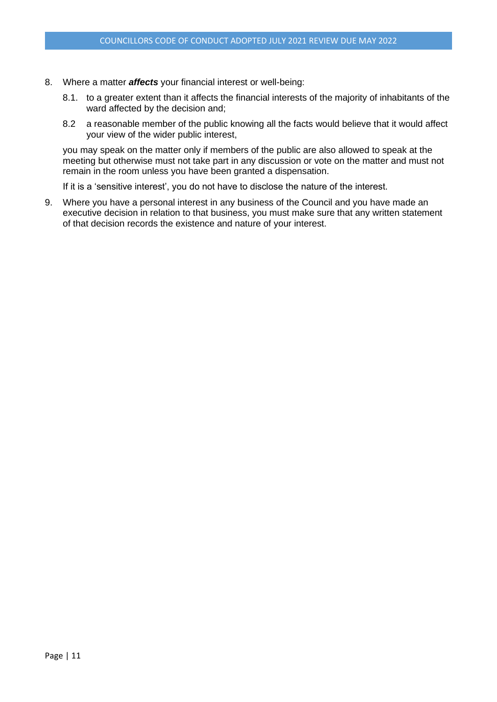- 8. Where a matter *affects* your financial interest or well-being:
	- 8.1. to a greater extent than it affects the financial interests of the majority of inhabitants of the ward affected by the decision and;
	- 8.2 a reasonable member of the public knowing all the facts would believe that it would affect your view of the wider public interest,

you may speak on the matter only if members of the public are also allowed to speak at the meeting but otherwise must not take part in any discussion or vote on the matter and must not remain in the room unless you have been granted a dispensation.

If it is a 'sensitive interest', you do not have to disclose the nature of the interest.

9. Where you have a personal interest in any business of the Council and you have made an executive decision in relation to that business, you must make sure that any written statement of that decision records the existence and nature of your interest.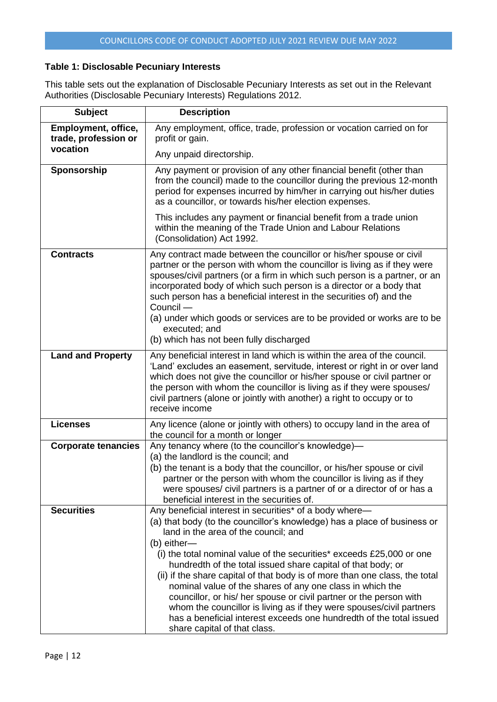# **Table 1: Disclosable Pecuniary Interests**

This table sets out the explanation of Disclosable Pecuniary Interests as set out in the Relevant Authorities (Disclosable Pecuniary Interests) Regulations 2012.

| <b>Subject</b>                              | <b>Description</b>                                                                                                                                                                                                                                                                                                                                                                                                                                                                                                                                                                                                                                                                                                                   |
|---------------------------------------------|--------------------------------------------------------------------------------------------------------------------------------------------------------------------------------------------------------------------------------------------------------------------------------------------------------------------------------------------------------------------------------------------------------------------------------------------------------------------------------------------------------------------------------------------------------------------------------------------------------------------------------------------------------------------------------------------------------------------------------------|
| Employment, office,<br>trade, profession or | Any employment, office, trade, profession or vocation carried on for<br>profit or gain.                                                                                                                                                                                                                                                                                                                                                                                                                                                                                                                                                                                                                                              |
| vocation                                    | Any unpaid directorship.                                                                                                                                                                                                                                                                                                                                                                                                                                                                                                                                                                                                                                                                                                             |
| Sponsorship                                 | Any payment or provision of any other financial benefit (other than<br>from the council) made to the councillor during the previous 12-month<br>period for expenses incurred by him/her in carrying out his/her duties<br>as a councillor, or towards his/her election expenses.                                                                                                                                                                                                                                                                                                                                                                                                                                                     |
|                                             | This includes any payment or financial benefit from a trade union<br>within the meaning of the Trade Union and Labour Relations<br>(Consolidation) Act 1992.                                                                                                                                                                                                                                                                                                                                                                                                                                                                                                                                                                         |
| <b>Contracts</b>                            | Any contract made between the councillor or his/her spouse or civil<br>partner or the person with whom the councillor is living as if they were<br>spouses/civil partners (or a firm in which such person is a partner, or an<br>incorporated body of which such person is a director or a body that<br>such person has a beneficial interest in the securities of) and the<br>Council -<br>(a) under which goods or services are to be provided or works are to be<br>executed; and<br>(b) which has not been fully discharged                                                                                                                                                                                                      |
| <b>Land and Property</b>                    | Any beneficial interest in land which is within the area of the council.<br>'Land' excludes an easement, servitude, interest or right in or over land<br>which does not give the councillor or his/her spouse or civil partner or<br>the person with whom the councillor is living as if they were spouses/<br>civil partners (alone or jointly with another) a right to occupy or to<br>receive income                                                                                                                                                                                                                                                                                                                              |
| <b>Licenses</b>                             | Any licence (alone or jointly with others) to occupy land in the area of<br>the council for a month or longer                                                                                                                                                                                                                                                                                                                                                                                                                                                                                                                                                                                                                        |
| <b>Corporate tenancies</b>                  | Any tenancy where (to the councillor's knowledge)-                                                                                                                                                                                                                                                                                                                                                                                                                                                                                                                                                                                                                                                                                   |
|                                             | (a) the landlord is the council; and<br>(b) the tenant is a body that the councillor, or his/her spouse or civil<br>partner or the person with whom the councillor is living as if they<br>were spouses/ civil partners is a partner of or a director of or has a<br>beneficial interest in the securities of.                                                                                                                                                                                                                                                                                                                                                                                                                       |
| <b>Securities</b>                           | Any beneficial interest in securities* of a body where-<br>(a) that body (to the councillor's knowledge) has a place of business or<br>land in the area of the council; and<br>(b) either-<br>(i) the total nominal value of the securities* exceeds £25,000 or one<br>hundredth of the total issued share capital of that body; or<br>(ii) if the share capital of that body is of more than one class, the total<br>nominal value of the shares of any one class in which the<br>councillor, or his/ her spouse or civil partner or the person with<br>whom the councillor is living as if they were spouses/civil partners<br>has a beneficial interest exceeds one hundredth of the total issued<br>share capital of that class. |